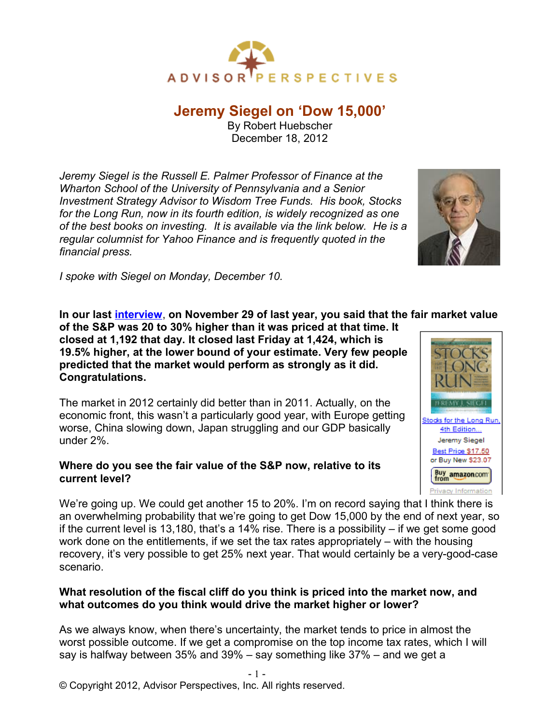

# **Jeremy Siegel on 'Dow 15,000'**

By Robert Huebscher December 18, 2012

*Jeremy Siegel is the Russell E. Palmer Professor of Finance at the Wharton School of the University of Pennsylvania and a Senior Investment Strategy Advisor to Wisdom Tree Funds. His book, Stocks for the Long Run, now in its fourth edition, is widely recognized as one of the best books on investing. It is available via the link below. He is a regular columnist for Yahoo Finance and is frequently quoted in the financial press.*



*I spoke with Siegel on Monday, December 10.*

**In our last [interview](http://advisorperspectives.com/newsletters11/Jeremy_Siegel_on_Why_Stocks_are_Extremely_Attractive.php)**, **on November 29 of last year, you said that the fair market value**

**of the S&P was 20 to 30% higher than it was priced at that time. It closed at 1,192 that day. It closed last Friday at 1,424, which is 19.5% higher, at the lower bound of your estimate. Very few people predicted that the market would perform as strongly as it did. Congratulations.**

The market in 2012 certainly did better than in 2011. Actually, on the economic front, this wasn't a particularly good year, with Europe getting worse, China slowing down, Japan struggling and our GDP basically under 2%.

## **Where do you see the fair value of the S&P now, relative to its current level?**

Buy amazon.com Privacy Information We're going up. We could get another 15 to 20%. I'm on record saying that I think there is an overwhelming probability that we're going to get Dow 15,000 by the end of next year, so if the current level is 13,180, that's a 14% rise. There is a possibility  $-$  if we get some good work done on the entitlements, if we set the tax rates appropriately – with the housing recovery, it's very possible to get 25% next year. That would certainly be a very-good-case scenario.

# **What resolution of the fiscal cliff do you think is priced into the market now, and what outcomes do you think would drive the market higher or lower?**

As we always know, when there's uncertainty, the market tends to price in almost the worst possible outcome. If we get a compromise on the top income tax rates, which I will say is halfway between 35% and 39% – say something like 37% – and we get a



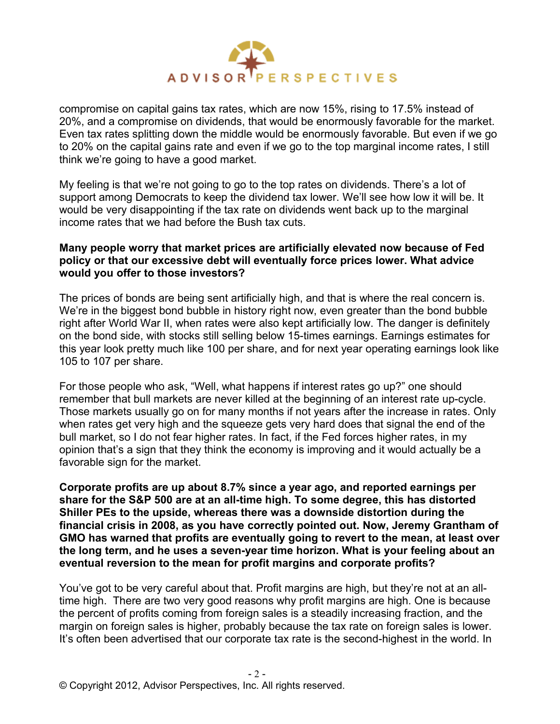

compromise on capital gains tax rates, which are now 15%, rising to 17.5% instead of 20%, and a compromise on dividends, that would be enormously favorable for the market. Even tax rates splitting down the middle would be enormously favorable. But even if we go to 20% on the capital gains rate and even if we go to the top marginal income rates, I still think we're going to have a good market.

My feeling is that we're not going to go to the top rates on dividends. There's a lot of support among Democrats to keep the dividend tax lower. We'll see how low it will be. It would be very disappointing if the tax rate on dividends went back up to the marginal income rates that we had before the Bush tax cuts.

#### **Many people worry that market prices are artificially elevated now because of Fed policy or that our excessive debt will eventually force prices lower. What advice would you offer to those investors?**

The prices of bonds are being sent artificially high, and that is where the real concern is. We're in the biggest bond bubble in history right now, even greater than the bond bubble right after World War II, when rates were also kept artificially low. The danger is definitely on the bond side, with stocks still selling below 15-times earnings. Earnings estimates for this year look pretty much like 100 per share, and for next year operating earnings look like 105 to 107 per share.

For those people who ask, "Well, what happens if interest rates go up?" one should remember that bull markets are never killed at the beginning of an interest rate up-cycle. Those markets usually go on for many months if not years after the increase in rates. Only when rates get very high and the squeeze gets very hard does that signal the end of the bull market, so I do not fear higher rates. In fact, if the Fed forces higher rates, in my opinion that's a sign that they think the economy is improving and it would actually be a favorable sign for the market.

**Corporate profits are up about 8.7% since a year ago, and reported earnings per share for the S&P 500 are at an all-time high. To some degree, this has distorted Shiller PEs to the upside, whereas there was a downside distortion during the financial crisis in 2008, as you have correctly pointed out. Now, Jeremy Grantham of GMO has warned that profits are eventually going to revert to the mean, at least over the long term, and he uses a seven-year time horizon. What is your feeling about an eventual reversion to the mean for profit margins and corporate profits?**

You've got to be very careful about that. Profit margins are high, but they're not at an alltime high. There are two very good reasons why profit margins are high. One is because the percent of profits coming from foreign sales is a steadily increasing fraction, and the margin on foreign sales is higher, probably because the tax rate on foreign sales is lower. It's often been advertised that our corporate tax rate is the second-highest in the world. In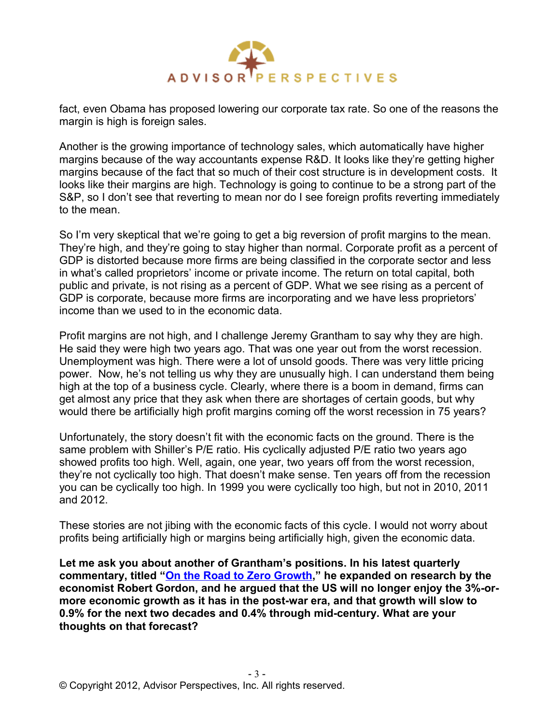

fact, even Obama has proposed lowering our corporate tax rate. So one of the reasons the margin is high is foreign sales.

Another is the growing importance of technology sales, which automatically have higher margins because of the way accountants expense R&D. It looks like they're getting higher margins because of the fact that so much of their cost structure is in development costs. It looks like their margins are high. Technology is going to continue to be a strong part of the S&P, so I don't see that reverting to mean nor do I see foreign profits reverting immediately to the mean.

So I'm very skeptical that we're going to get a big reversion of profit margins to the mean. They're high, and they're going to stay higher than normal. Corporate profit as a percent of GDP is distorted because more firms are being classified in the corporate sector and less in what's called proprietors' income or private income. The return on total capital, both public and private, is not rising as a percent of GDP. What we see rising as a percent of GDP is corporate, because more firms are incorporating and we have less proprietors' income than we used to in the economic data.

Profit margins are not high, and I challenge Jeremy Grantham to say why they are high. He said they were high two years ago. That was one year out from the worst recession. Unemployment was high. There were a lot of unsold goods. There was very little pricing power. Now, he's not telling us why they are unusually high. I can understand them being high at the top of a business cycle. Clearly, where there is a boom in demand, firms can get almost any price that they ask when there are shortages of certain goods, but why would there be artificially high profit margins coming off the worst recession in 75 years?

Unfortunately, the story doesn't fit with the economic facts on the ground. There is the same problem with Shiller's P/E ratio. His cyclically adjusted P/E ratio two years ago showed profits too high. Well, again, one year, two years off from the worst recession, they're not cyclically too high. That doesn't make sense. Ten years off from the recession you can be cyclically too high. In 1999 you were cyclically too high, but not in 2010, 2011 and 2012.

These stories are not jibing with the economic facts of this cycle. I would not worry about profits being artificially high or margins being artificially high, given the economic data.

**Let me ask you about another of Grantham's positions. In his latest quarterly commentary, titled ["On the Road to Zero Growth,](http://www.advisorperspectives.com/commentaries/gmo_112012.php)" he expanded on research by the economist Robert Gordon, and he argued that the US will no longer enjoy the 3%-ormore economic growth as it has in the post-war era, and that growth will slow to 0.9% for the next two decades and 0.4% through mid-century. What are your thoughts on that forecast?**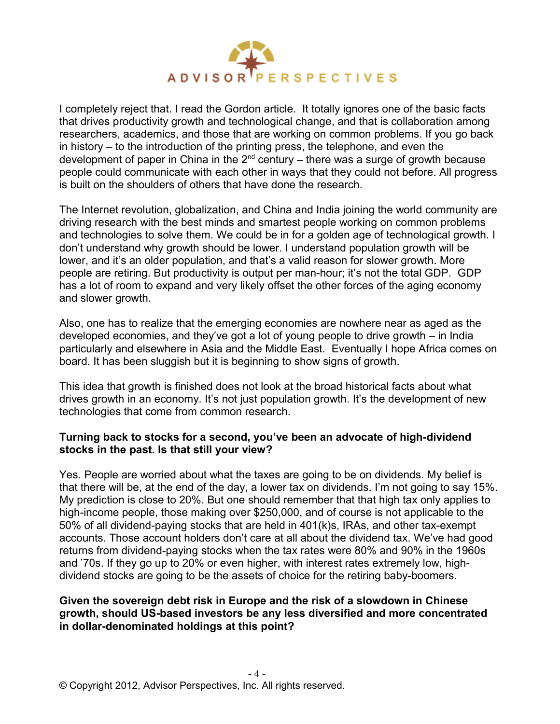

I completely reject that. I read the Gordon article. It totally ignores one of the basic facts that drives productivity growth and technological change, and that is collaboration among researchers, academics, and those that are working on common problems. If you go back in history – to the introduction of the printing press, the telephone, and even the development of paper in China in the  $2^{nd}$  century – there was a surge of growth because people could communicate with each other in ways that they could not before. All progress is built on the shoulders of others that have done the research.

The Internet revolution, globalization, and China and India joining the world community are driving research with the best minds and smartest people working on common problems and technologies to solve them. We could be in for a golden age of technological growth. I don't understand why growth should be lower. I understand population growth will be lower, and it's an older population, and that's a valid reason for slower growth. More people are retiring. But productivity is output per man-hour; it's not the total GDP. GDP has a lot of room to expand and very likely offset the other forces of the aging economy and slower growth.

Also, one has to realize that the emerging economies are nowhere near as aged as the developed economies, and they've got a lot of young people to drive growth – in India particularly and elsewhere in Asia and the Middle East. Eventually I hope Africa comes on board. It has been sluggish but it is beginning to show signs of growth.

This idea that growth is finished does not look at the broad historical facts about what drives growth in an economy. It's not just population growth. It's the development of new technologies that come from common research.

#### **Turning back to stocks for a second, you've been an advocate of high-dividend stocks in the past. Is that still your view?**

Yes. People are worried about what the taxes are going to be on dividends. My belief is that there will be, at the end of the day, a lower tax on dividends. I'm not going to say 15%. My prediction is close to 20%. But one should remember that that high tax only applies to high-income people, those making over \$250,000, and of course is not applicable to the 50% of all dividend-paying stocks that are held in 401(k)s, IRAs, and other tax-exempt accounts. Those account holders don't care at all about the dividend tax. We've had good returns from dividend-paying stocks when the tax rates were 80% and 90% in the 1960s and '70s. If they go up to 20% or even higher, with interest rates extremely low, highdividend stocks are going to be the assets of choice for the retiring baby-boomers.

## **Given the sovereign debt risk in Europe and the risk of a slowdown in Chinese growth, should US-based investors be any less diversified and more concentrated in dollar-denominated holdings at this point?**